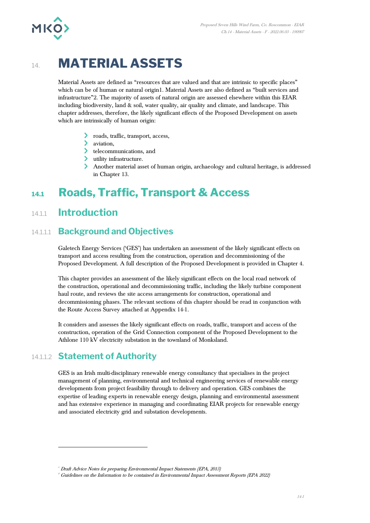

# 14. **MATERIAL ASSETS**

Material Assets are defined as "resources that are valued and that are intrinsic to specific places" which can be of human or natural origin1. Material Assets are also defined as "built services and infrastructure"2. The majority of assets of natural origin are assessed elsewhere within this EIAR including biodiversity, land & soil, water quality, air quality and climate, and landscape. This chapter addresses, therefore, the likely significant effects of the Proposed Development on assets which are intrinsically of human origin:

- roads, traffic, transport, access,
- $\sum$  aviation.
- > telecommunications, and
- utility infrastructure.
- Another material asset of human origin, archaeology and cultural heritage, is addressed in Chapter 13.

# **14.1 Roads, Traffic, Transport & Access**

## 14.1.1 **Introduction**

#### 14.1.1.1 **Background and Objectives**

Galetech Energy Services ('GES') has undertaken an assessment of the likely significant effects on transport and access resulting from the construction, operation and decommissioning of the Proposed Development. A full description of the Proposed Development is provided in Chapter 4.

This chapter provides an assessment of the likely significant effects on the local road network of the construction, operational and decommissioning traffic, including the likely turbine component haul route, and reviews the site access arrangements for construction, operational and decommissioning phases. The relevant sections of this chapter should be read in conjunction with the Route Access Survey attached at Appendix 14-1.

It considers and assesses the likely significant effects on roads, traffic, transport and access of the construction, operation of the Grid Connection component of the Proposed Development to the Athlone 110 kV electricity substation in the townland of Monksland.

### 14.1.1.2 **Statement of Authority**

GES is an Irish multi-disciplinary renewable energy consultancy that specialises in the project management of planning, environmental and technical engineering services of renewable energy developments from project feasibility through to delivery and operation. GES combines the expertise of leading experts in renewable energy design, planning and environmental assessment and has extensive experience in managing and coordinating EIAR projects for renewable energy and associated electricity grid and substation developments.

<sup>&</sup>lt;sup>1</sup> Draft Advice Notes for preparing Environmental Impact Statements (EPA, 2015)

<sup>2</sup> Guidelines on the Information to be contained in Environmental Impact Assessment Reports (EPA 2022)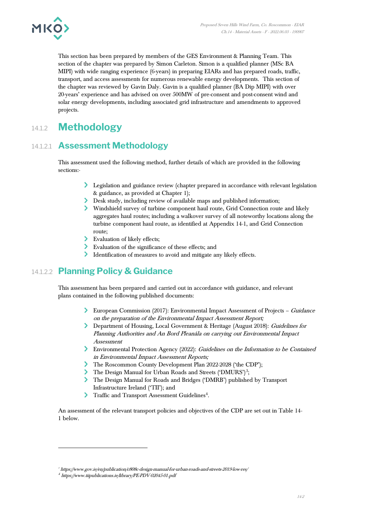

This section has been prepared by members of the GES Environment & Planning Team. This section of the chapter was prepared by Simon Carleton. Simon is a qualified planner (MSc BA MIPI) with wide ranging experience (6-years) in preparing EIARs and has prepared roads, traffic, transport, and access assessments for numerous renewable energy developments. This section of the chapter was reviewed by Gavin Daly. Gavin is a qualified planner (BA Dip MIPI) with over 20-years' experience and has advised on over 500MW of pre-consent and post-consent wind and solar energy developments, including associated grid infrastructure and amendments to approved projects.

# 14.1.2 **Methodology**

## 14.1.2.1 **Assessment Methodology**

This assessment used the following method, further details of which are provided in the following sections:-

- Legislation and guidance review (chapter prepared in accordance with relevant legislation & guidance, as provided at Chapter 1);
- Desk study, including review of available maps and published information;
- Windshield survey of turbine component haul route, Grid Connection route and likely aggregates haul routes; including a walkover survey of all noteworthy locations along the turbine component haul route, as identified at Appendix 14-1, and Grid Connection route;
- Evaluation of likely effects;
- Evaluation of the significance of these effects; and
- Identification of measures to avoid and mitigate any likely effects.

### 14.1.2.2 **Planning Policy & Guidance**

This assessment has been prepared and carried out in accordance with guidance, and relevant plans contained in the following published documents:

- European Commission (2017): Environmental Impact Assessment of Projects Guidance on the preparation of the Environmental Impact Assessment Report;
- Department of Housing, Local Government & Heritage (August 2018): Guidelines for Planning Authorities and An Bord Pleanála on carrying out Environmental Impact Assessment
- Environmental Protection Agency (2022): Guidelines on the Information to be Contained in Environmental Impact Assessment Reports;
- The Roscommon County Development Plan 2022-2028 ('the CDP');
- The Design Manual for Urban Roads and Streets ('DMURS')<sup>3</sup>;
- The Design Manual for Roads and Bridges ('DMRB') published by Transport Infrastructure Ireland ('TII'); and
- Traffic and Transport Assessment Guidelines<sup>4</sup>.

An assessment of the relevant transport policies and objectives of the CDP are set out in Table 14- 1 below.

<sup>3</sup> <https://www.gov.ie/en/publication/c808c-design-manual-for-urban-roads-and-streets-2019-low-res/>

<sup>4</sup> <https://www.tiipublications.ie/library/PE-PDV-02045-01.pdf>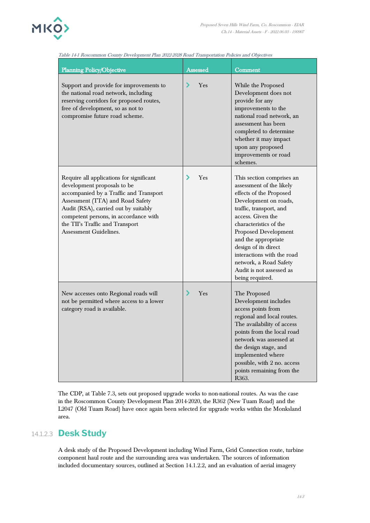

| <b>Planning Policy/Objective</b>                                                                                                                                                                                                                                                                    | Assessed | Comment                                                                                                                                                                                                                                                                                                                                                           |
|-----------------------------------------------------------------------------------------------------------------------------------------------------------------------------------------------------------------------------------------------------------------------------------------------------|----------|-------------------------------------------------------------------------------------------------------------------------------------------------------------------------------------------------------------------------------------------------------------------------------------------------------------------------------------------------------------------|
| Support and provide for improvements to<br>the national road network, including<br>reserving corridors for proposed routes,<br>free of development, so as not to<br>compromise future road scheme.                                                                                                  | ⋗<br>Yes | While the Proposed<br>Development does not<br>provide for any<br>improvements to the<br>national road network, an<br>assessment has been<br>completed to determine<br>whether it may impact<br>upon any proposed<br>improvements or road<br>schemes.                                                                                                              |
| Require all applications for significant<br>development proposals to be<br>accompanied by a Traffic and Transport<br>Assessment (TTA) and Road Safety<br>Audit (RSA), carried out by suitably<br>competent persons, in accordance with<br>the TII's Traffic and Transport<br>Assessment Guidelines. | ⋗<br>Yes | This section comprises an<br>assessment of the likely<br>effects of the Proposed<br>Development on roads,<br>traffic, transport, and<br>access. Given the<br>characteristics of the<br>Proposed Development<br>and the appropriate<br>design of its direct<br>interactions with the road<br>network, a Road Safety<br>Audit is not assessed as<br>being required. |
| New accesses onto Regional roads will<br>not be permitted where access to a lower<br>category road is available.                                                                                                                                                                                    | ⋗<br>Yes | The Proposed<br>Development includes<br>access points from<br>regional and local routes.<br>The availability of access<br>points from the local road<br>network was assessed at<br>the design stage, and<br>implemented where<br>possible, with 2 no. access<br>points remaining from the<br>R363.                                                                |

#### Table 14-1 Roscommon County Development Plan 2022-2028 Road Transportation Policies and Objectives

The CDP, at Table 7.3, sets out proposed upgrade works to non-national routes. As was the case in the Roscommon County Development Plan 2014-2020, the R362 (New Tuam Road) and the L2047 (Old Tuam Road) have once again been selected for upgrade works within the Monksland area.

#### 14.1.2.3 **Desk Study**

A desk study of the Proposed Development including Wind Farm, Grid Connection route, turbine component haul route and the surrounding area was undertaken. The sources of information included documentary sources, outlined at Section 14.1.2.2, and an evaluation of aerial imagery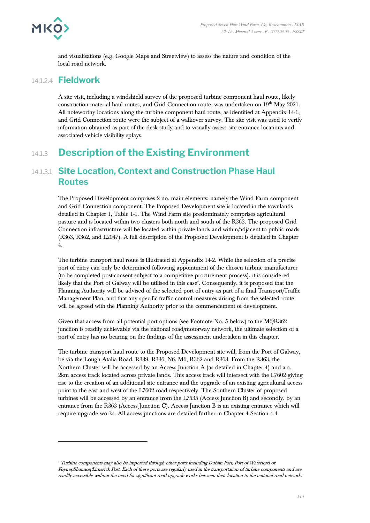

and visualisations (e.g. Google Maps and Streetview) to assess the nature and condition of the local road network.

#### 14.1.2.4 **Fieldwork**

A site visit, including a windshield survey of the proposed turbine component haul route, likely construction material haul routes, and Grid Connection route, was undertaken on 19<sup>th</sup> May 2021. All noteworthy locations along the turbine component haul route, as identified at Appendix 14-1, and Grid Connection route were the subject of a walkover survey. The site visit was used to verify information obtained as part of the desk study and to visually assess site entrance locations and associated vehicle visibility splays.

# 14.1.3 **Description of the Existing Environment**

#### 14.1.3.1 **Site Location, Context and Construction Phase Haul Routes**

The Proposed Development comprises 2 no. main elements; namely the Wind Farm component and Grid Connection component. The Proposed Development site is located in the townlands detailed in Chapter 1, Table 1-1. The Wind Farm site predominately comprises agricultural pasture and is located within two clusters both north and south of the R363. The proposed Grid Connection infrastructure will be located within private lands and within/adjacent to public roads (R363, R362, and L2047). A full description of the Proposed Development is detailed in Chapter 4.

The turbine transport haul route is illustrated at Appendix 14-2. While the selection of a precise port of entry can only be determined following appointment of the chosen turbine manufacturer (to be completed post-consent subject to a competitive procurement process), it is considered likely that the Port of Galway will be utilised in this case<sup>3</sup>. Consequently, it is proposed that the Planning Authority will be advised of the selected port of entry as part of a final Transport/Traffic Management Plan, and that any specific traffic control measures arising from the selected route will be agreed with the Planning Authority prior to the commencement of development.

Given that access from all potential port options (see Footnote No. 5 below) to the M6/R362 junction is readily achievable via the national road/motorway network, the ultimate selection of a port of entry has no bearing on the findings of the assessment undertaken in this chapter.

The turbine transport haul route to the Proposed Development site will, from the Port of Galway, be via the Lough Atalia Road, R339, R336, N6, M6, R362 and R363. From the R363, the Northern Cluster will be accessed by an Access Junction A (as detailed in Chapter 4) and a c. 2km access track located across private lands. This access track will intersect with the L7602 giving rise to the creation of an additional site entrance and the upgrade of an existing agricultural access point to the east and west of the L7602 road respectively. The Southern Cluster of proposed turbines will be accessed by an entrance from the L7535 (Access Junction B) and secondly, by an entrance from the R363 (Access Junction C). Access Junction B is an existing entrance which will require upgrade works. All access junctions are detailed further in Chapter 4 Section 4.4.

 $5$  Turbine components may also be imported through other ports including Dublin Port, Port of Waterford or Foynes/Shannon/Limerick Port. Each of these ports are regularly used in the transportation of turbine components and are readily accessible without the need for significant road upgrade works between their location to the national road network.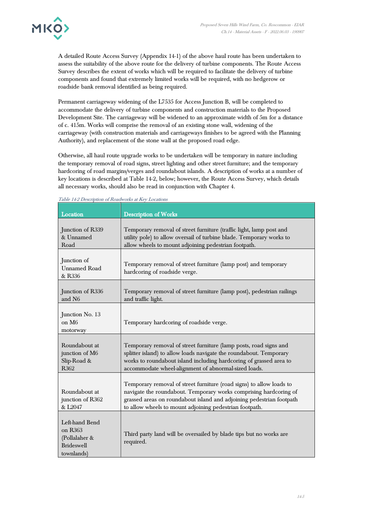

A detailed Route Access Survey (Appendix 14-1) of the above haul route has been undertaken to assess the suitability of the above route for the delivery of turbine components. The Route Access Survey describes the extent of works which will be required to facilitate the delivery of turbine components and found that extremely limited works will be required, with no hedgerow or roadside bank removal identified as being required.

Permanent carriageway widening of the L7535 for Access Junction B, will be completed to accommodate the delivery of turbine components and construction materials to the Proposed Development Site. The carriageway will be widened to an approximate width of 5m for a distance of c. 415m. Works will comprise the removal of an existing stone wall, widening of the carriageway (with construction materials and carriageways finishes to be agreed with the Planning Authority), and replacement of the stone wall at the proposed road edge.

Otherwise, all haul route upgrade works to be undertaken will be temporary in nature including the temporary removal of road signs, street lighting and other street furniture; and the temporary hardcoring of road margins/verges and roundabout islands. A description of works at a number of key locations is described at Table 14-2, below; however, the Route Access Survey, which details all necessary works, should also be read in conjunction with Chapter 4.

| Location                                                                      | <b>Description of Works</b>                                                                                                                                                                                                                                                  |
|-------------------------------------------------------------------------------|------------------------------------------------------------------------------------------------------------------------------------------------------------------------------------------------------------------------------------------------------------------------------|
| Junction of R339<br>& Unnamed<br>Road                                         | Temporary removal of street furniture (traffic light, lamp post and<br>utility pole) to allow oversail of turbine blade. Temporary works to<br>allow wheels to mount adjoining pedestrian footpath.                                                                          |
| Junction of<br><b>Unnamed Road</b><br>& R336                                  | Temporary removal of street furniture (lamp post) and temporary<br>hardcoring of roadside verge.                                                                                                                                                                             |
| Junction of R336<br>and N <sub>6</sub>                                        | Temporary removal of street furniture (lamp post), pedestrian railings<br>and traffic light.                                                                                                                                                                                 |
| Junction No. 13<br>on M <sub>6</sub><br>motorway                              | Temporary hardcoring of roadside verge.                                                                                                                                                                                                                                      |
| Roundabout at<br>junction of M6<br>Slip-Road &<br>R <sub>362</sub>            | Temporary removal of street furniture (lamp posts, road signs and<br>splitter island) to allow loads navigate the roundabout. Temporary<br>works to roundabout island including hardcoring of grassed area to<br>accommodate wheel-alignment of abnormal-sized loads.        |
| Roundabout at<br>junction of R362<br>& L2047                                  | Temporary removal of street furniture (road signs) to allow loads to<br>navigate the roundabout. Temporary works comprising hardcoring of<br>grassed areas on roundabout island and adjoining pedestrian footpath<br>to allow wheels to mount adjoining pedestrian footpath. |
| Left-hand Bend<br>on R363<br>(Pollalaher &<br><b>Brideswell</b><br>townlands) | Third party land will be oversailed by blade tips but no works are<br>required.                                                                                                                                                                                              |

Table 14-2 Description of Roadworks at Key Locations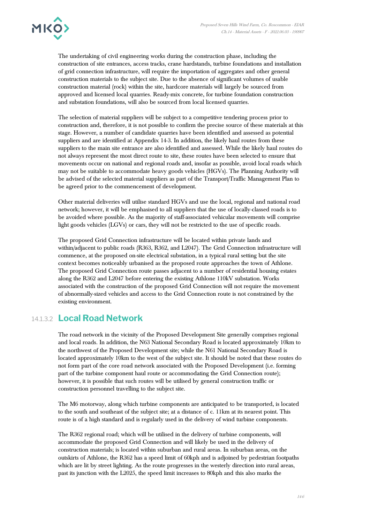

The undertaking of civil engineering works during the construction phase, including the construction of site entrances, access tracks, crane hardstands, turbine foundations and installation of grid connection infrastructure, will require the importation of aggregates and other general construction materials to the subject site. Due to the absence of significant volumes of usable construction material (rock) within the site, hardcore materials will largely be sourced from approved and licensed local quarries. Ready-mix concrete, for turbine foundation construction and substation foundations, will also be sourced from local licensed quarries.

The selection of material suppliers will be subject to a competitive tendering process prior to construction and, therefore, it is not possible to confirm the precise source of these materials at this stage. However, a number of candidate quarries have been identified and assessed as potential suppliers and are identified at Appendix 14-3. In addition, the likely haul routes from these suppliers to the main site entrance are also identified and assessed. While the likely haul routes do not always represent the most direct route to site, these routes have been selected to ensure that movements occur on national and regional roads and, insofar as possible, avoid local roads which may not be suitable to accommodate heavy goods vehicles (HGVs). The Planning Authority will be advised of the selected material suppliers as part of the Transport/Traffic Management Plan to be agreed prior to the commencement of development.

Other material deliveries will utilise standard HGVs and use the local, regional and national road network; however, it will be emphasised to all suppliers that the use of locally-classed roads is to be avoided where possible. As the majority of staff-associated vehicular movements will comprise light goods vehicles (LGVs) or cars, they will not be restricted to the use of specific roads.

The proposed Grid Connection infrastructure will be located within private lands and within/adjacent to public roads (R363, R362, and L2047). The Grid Connection infrastructure will commence, at the proposed on-site electrical substation, in a typical rural setting but the site context becomes noticeably urbanised as the proposed route approaches the town of Athlone. The proposed Grid Connection route passes adjacent to a number of residential housing estates along the R362 and L2047 before entering the existing Athlone 110kV substation. Works associated with the construction of the proposed Grid Connection will not require the movement of abnormally-sized vehicles and access to the Grid Connection route is not constrained by the existing environment.

#### 14.1.3.2 **Local Road Network**

The road network in the vicinity of the Proposed Development Site generally comprises regional and local roads. In addition, the N63 National Secondary Road is located approximately 10km to the northwest of the Proposed Development site; while the N61 National Secondary Road is located approximately 10km to the west of the subject site. It should be noted that these routes do not form part of the core road network associated with the Proposed Development (i.e. forming part of the turbine component haul route or accommodating the Grid Connection route); however, it is possible that such routes will be utilised by general construction traffic or construction personnel travelling to the subject site.

The M6 motorway, along which turbine components are anticipated to be transported, is located to the south and southeast of the subject site; at a distance of c. 11km at its nearest point. This route is of a high standard and is regularly used in the delivery of wind turbine components.

The R362 regional road; which will be utilised in the delivery of turbine components, will accommodate the proposed Grid Connection and will likely be used in the delivery of construction materials; is located within suburban and rural areas. In suburban areas, on the outskirts of Athlone, the R362 has a speed limit of 60kph and is adjoined by pedestrian footpaths which are lit by street lighting. As the route progresses in the westerly direction into rural areas, past its junction with the L2025, the speed limit increases to 80kph and this also marks the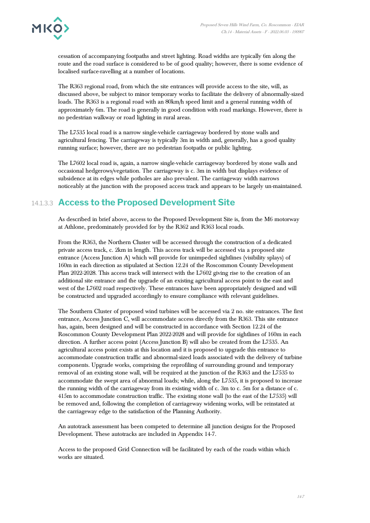

cessation of accompanying footpaths and street lighting. Road widths are typically 6m along the route and the road surface is considered to be of good quality; however, there is some evidence of localised surface-ravelling at a number of locations.

The R363 regional road, from which the site entrances will provide access to the site, will, as discussed above, be subject to minor temporary works to facilitate the delivery of abnormally-sized loads. The R363 is a regional road with an 80km/h speed limit and a general running width of approximately 6m. The road is generally in good condition with road markings. However, there is no pedestrian walkway or road lighting in rural areas.

The L7535 local road is a narrow single-vehicle carriageway bordered by stone walls and agricultural fencing. The carriageway is typically 3m in width and, generally, has a good quality running surface; however, there are no pedestrian footpaths or public lighting.

The L7602 local road is, again, a narrow single-vehicle carriageway bordered by stone walls and occasional hedgerows/vegetation. The carriageway is c. 3m in width but displays evidence of subsidence at its edges while potholes are also prevalent. The carriageway width narrows noticeably at the junction with the proposed access track and appears to be largely un-maintained.

## 14.1.3.3 **Access to the Proposed Development Site**

As described in brief above, access to the Proposed Development Site is, from the M6 motorway at Athlone, predominately provided for by the R362 and R363 local roads.

From the R363, the Northern Cluster will be accessed through the construction of a dedicated private access track, c. 2km in length. This access track will be accessed via a proposed site entrance (Access Junction A) which will provide for unimpeded sightlines (visibility splays) of 160m in each direction as stipulated at Section 12.24 of the Roscommon County Development Plan 2022-2028. This access track will intersect with the L7602 giving rise to the creation of an additional site entrance and the upgrade of an existing agricultural access point to the east and west of the L7602 road respectively. These entrances have been appropriately designed and will be constructed and upgraded accordingly to ensure compliance with relevant guidelines.

The Southern Cluster of proposed wind turbines will be accessed via 2 no. site entrances. The first entrance, Access Junction C, will accommodate access directly from the R363. This site entrance has, again, been designed and will be constructed in accordance with Section 12.24 of the Roscommon County Development Plan 2022-2028 and will provide for sightlines of 160m in each direction. A further access point (Access Junction B) will also be created from the L7535. An agricultural access point exists at this location and it is proposed to upgrade this entrance to accommodate construction traffic and abnormal-sized loads associated with the delivery of turbine components. Upgrade works, comprising the reprofiling of surrounding ground and temporary removal of an existing stone wall, will be required at the junction of the R363 and the L7535 to accommodate the swept area of abnormal loads; while, along the L7535, it is proposed to increase the running width of the carriageway from its existing width of c. 3m to c. 5m for a distance of c. 415m to accommodate construction traffic. The existing stone wall (to the east of the L7535) will be removed and, following the completion of carriageway widening works, will be reinstated at the carriageway edge to the satisfaction of the Planning Authority.

An autotrack assessment has been competed to determine all junction designs for the Proposed Development. These autotracks are included in Appendix 14-7.

Access to the proposed Grid Connection will be facilitated by each of the roads within which works are situated.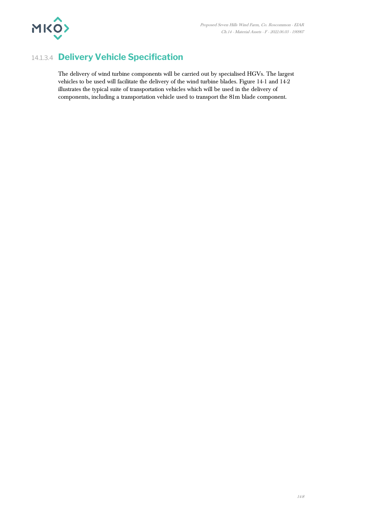

## 14.1.3.4 **Delivery Vehicle Specification**

The delivery of wind turbine components will be carried out by specialised HGVs. The largest vehicles to be used will facilitate the delivery of the wind turbine blades. Figure 14-1 and 14-2 illustrates the typical suite of transportation vehicles which will be used in the delivery of components, including a transportation vehicle used to transport the 81m blade component.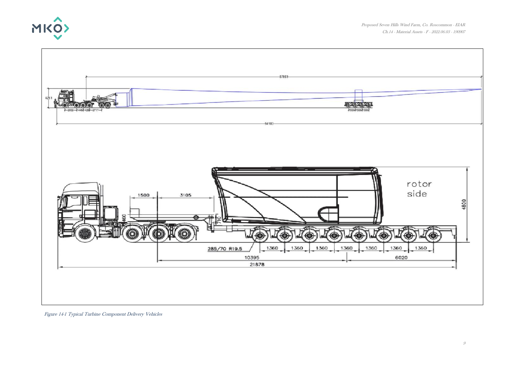



Figure 14-1 Typical Turbine Component Delivery Vehicles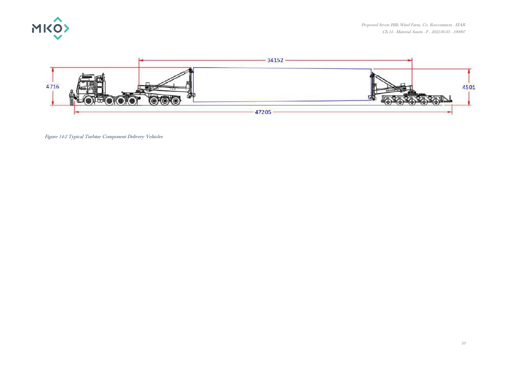



Figure 14-2 Typical Turbine Component Delivery Vehicles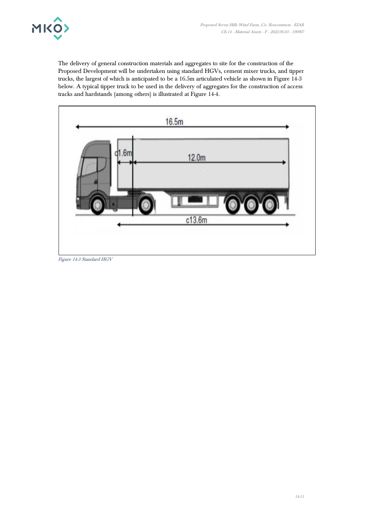

The delivery of general construction materials and aggregates to site for the construction of the Proposed Development will be undertaken using standard HGVs, cement mixer trucks, and tipper trucks, the largest of which is anticipated to be a 16.5m articulated vehicle as shown in Figure 14-3 below. A typical tipper truck to be used in the delivery of aggregates for the construction of access tracks and hardstands (among others) is illustrated at Figure 14-4.



Figure 14-3 Standard HGV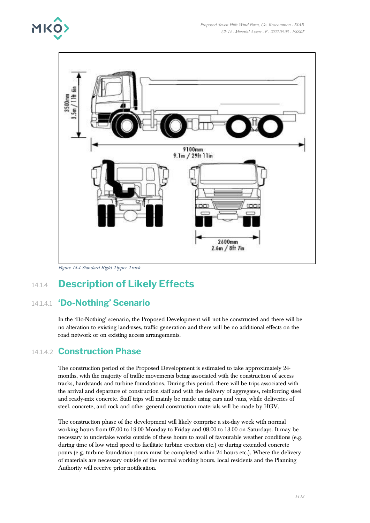



Figure 14-4 Standard Rigid Tipper Truck

# 14.1.4 **Description of Likely Effects**

## 14.1.4.1 **'Do-Nothing' Scenario**

In the 'Do-Nothing' scenario, the Proposed Development will not be constructed and there will be no alteration to existing land-uses, traffic generation and there will be no additional effects on the road network or on existing access arrangements.

### 14.1.4.2 **Construction Phase**

The construction period of the Proposed Development is estimated to take approximately 24 months, with the majority of traffic movements being associated with the construction of access tracks, hardstands and turbine foundations. During this period, there will be trips associated with the arrival and departure of construction staff and with the delivery of aggregates, reinforcing steel and ready-mix concrete. Staff trips will mainly be made using cars and vans, while deliveries of steel, concrete, and rock and other general construction materials will be made by HGV.

The construction phase of the development will likely comprise a six-day week with normal working hours from 07.00 to 19.00 Monday to Friday and 08.00 to 13.00 on Saturdays. It may be necessary to undertake works outside of these hours to avail of favourable weather conditions (e.g. during time of low wind speed to facilitate turbine erection etc.) or during extended concrete pours (e.g. turbine foundation pours must be completed within 24 hours etc.). Where the delivery of materials are necessary outside of the normal working hours, local residents and the Planning Authority will receive prior notification.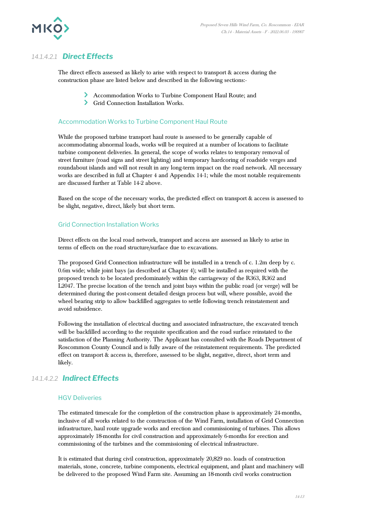

#### *14.1.4.2.1 Direct Effects*

The direct effects assessed as likely to arise with respect to transport & access during the construction phase are listed below and described in the following sections:-

- Accommodation Works to Turbine Component Haul Route; and
- Grid Connection Installation Works.

#### Accommodation Works to Turbine Component Haul Route

While the proposed turbine transport haul route is assessed to be generally capable of accommodating abnormal loads, works will be required at a number of locations to facilitate turbine component deliveries. In general, the scope of works relates to temporary removal of street furniture (road signs and street lighting) and temporary hardcoring of roadside verges and roundabout islands and will not result in any long-term impact on the road network. All necessary works are described in full at Chapter 4 and Appendix 14-1; while the most notable requirements are discussed further at Table 14-2 above.

Based on the scope of the necessary works, the predicted effect on transport & access is assessed to be slight, negative, direct, likely but short term.

#### Grid Connection Installation Works

Direct effects on the local road network, transport and access are assessed as likely to arise in terms of effects on the road structure/surface due to excavations.

The proposed Grid Connection infrastructure will be installed in a trench of c. 1.2m deep by c. 0.6m wide; while joint bays (as described at Chapter 4); will be installed as required with the proposed trench to be located predominately within the carriageway of the R363, R362 and L2047. The precise location of the trench and joint bays within the public road (or verge) will be determined during the post-consent detailed design process but will, where possible, avoid the wheel bearing strip to allow backfilled aggregates to settle following trench reinstatement and avoid subsidence.

Following the installation of electrical ducting and associated infrastructure, the excavated trench will be backfilled according to the requisite specification and the road surface reinstated to the satisfaction of the Planning Authority. The Applicant has consulted with the Roads Department of Roscommon County Council and is fully aware of the reinstatement requirements. The predicted effect on transport & access is, therefore, assessed to be slight, negative, direct, short term and likely.

#### *14.1.4.2.2 Indirect Effects*

#### HGV Deliveries

The estimated timescale for the completion of the construction phase is approximately 24-months, inclusive of all works related to the construction of the Wind Farm, installation of Grid Connection infrastructure, haul route upgrade works and erection and commissioning of turbines. This allows approximately 18-months for civil construction and approximately 6-months for erection and commissioning of the turbines and the commissioning of electrical infrastructure.

It is estimated that during civil construction, approximately 20,829 no. loads of construction materials, stone, concrete, turbine components, electrical equipment, and plant and machinery will be delivered to the proposed Wind Farm site. Assuming an 18-month civil works construction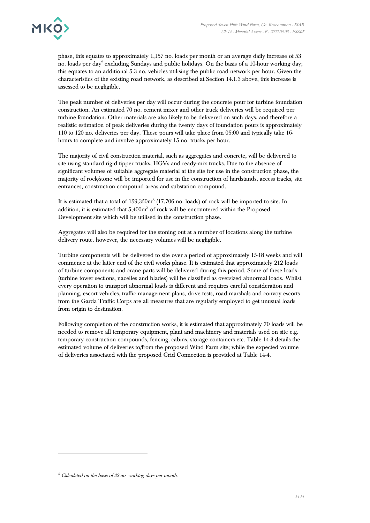

phase, this equates to approximately 1,157 no. loads per month or an average daily increase of 53 no. loads per day $^6$  excluding Sundays and public holidays. On the basis of a 10-hour working day; this equates to an additional 5.3 no. vehicles utilising the public road network per hour. Given the characteristics of the existing road network, as described at Section 14.1.3 above, this increase is assessed to be negligible.

The peak number of deliveries per day will occur during the concrete pour for turbine foundation construction. An estimated 70 no. cement mixer and other truck deliveries will be required per turbine foundation. Other materials are also likely to be delivered on such days, and therefore a realistic estimation of peak deliveries during the twenty days of foundation pours is approximately 110 to 120 no. deliveries per day. These pours will take place from 05:00 and typically take 16 hours to complete and involve approximately 15 no. trucks per hour.

The majority of civil construction material, such as aggregates and concrete, will be delivered to site using standard rigid tipper trucks, HGVs and ready-mix trucks. Due to the absence of significant volumes of suitable aggregate material at the site for use in the construction phase, the majority of rock/stone will be imported for use in the construction of hardstands, access tracks, site entrances, construction compound areas and substation compound.

It is estimated that a total of  $159,350m^3$  (17,706 no. loads) of rock will be imported to site. In addition, it is estimated that  $5,400m^3$  of rock will be encountered within the Proposed Development site which will be utilised in the construction phase.

Aggregates will also be required for the stoning out at a number of locations along the turbine delivery route. however, the necessary volumes will be negligible.

Turbine components will be delivered to site over a period of approximately 15-18 weeks and will commence at the latter end of the civil works phase. It is estimated that approximately 212 loads of turbine components and crane parts will be delivered during this period. Some of these loads (turbine tower sections, nacelles and blades) will be classified as oversized abnormal loads. Whilst every operation to transport abnormal loads is different and requires careful consideration and planning, escort vehicles, traffic management plans, drive tests, road marshals and convoy escorts from the Garda Traffic Corps are all measures that are regularly employed to get unusual loads from origin to destination.

Following completion of the construction works, it is estimated that approximately 70 loads will be needed to remove all temporary equipment, plant and machinery and materials used on site e.g. temporary construction compounds, fencing, cabins, storage containers etc. Table 14-3 details the estimated volume of deliveries to/from the proposed Wind Farm site; while the expected volume of deliveries associated with the proposed Grid Connection is provided at Table 14-4.

 $6$  Calculated on the basis of 22 no. working days per month.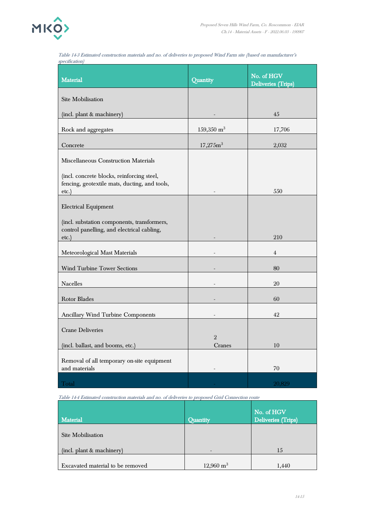

Table 14-3 Estimated construction materials and no. of deliveries to proposed Wind Farm site (based on manufacturer's specification)

| <b>Material</b>                                                                             | Quantity                 | No. of HGV                |
|---------------------------------------------------------------------------------------------|--------------------------|---------------------------|
|                                                                                             |                          | <b>Deliveries (Trips)</b> |
| <b>Site Mobilisation</b>                                                                    |                          |                           |
| (incl. plant & machinery)                                                                   |                          | 45                        |
| Rock and aggregates                                                                         | $159,350 \text{ m}^3$    | 17,706                    |
| Concrete                                                                                    | 17,275m <sup>3</sup>     | 2,032                     |
| Miscellaneous Construction Materials                                                        |                          |                           |
| (incl. concrete blocks, reinforcing steel,<br>fencing, geotextile mats, ducting, and tools, |                          |                           |
| etc.                                                                                        |                          | 550                       |
| <b>Electrical Equipment</b>                                                                 |                          |                           |
| (incl. substation components, transformers,<br>control panelling, and electrical cabling,   |                          |                           |
| etc.                                                                                        |                          | 210                       |
| Meteorological Mast Materials                                                               |                          | 4                         |
| <b>Wind Turbine Tower Sections</b>                                                          |                          | 80                        |
| Nacelles                                                                                    |                          | 20                        |
| <b>Rotor Blades</b>                                                                         |                          | 60                        |
| <b>Ancillary Wind Turbine Components</b>                                                    |                          | 42                        |
| <b>Crane Deliveries</b>                                                                     |                          |                           |
| (incl. ballast, and booms, etc.)                                                            | $\overline{2}$<br>Cranes | 10                        |
| Removal of all temporary on-site equipment<br>and materials                                 |                          | 70                        |
|                                                                                             |                          |                           |
| Total                                                                                       |                          | 20,829                    |

Table 14-4 Estimated construction materials and no. of deliveries to proposed Grid Connection route

| <b>Material</b>                  | <b>Ouantity</b>      | No. of HGV<br>Deliveries (Trips) |
|----------------------------------|----------------------|----------------------------------|
| Site Mobilisation                |                      |                                  |
| (incl. plant & machinery)        |                      | 15                               |
| Excavated material to be removed | $12,960 \text{ m}^3$ | 1,440                            |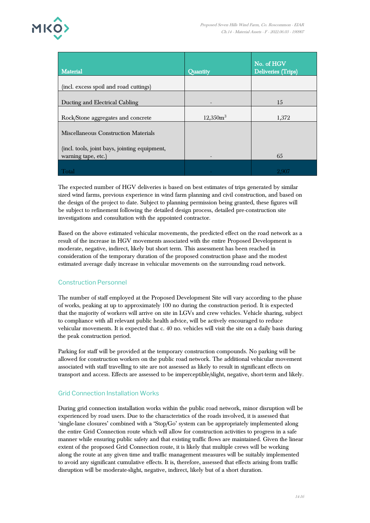

| <b>Material</b>                               | Quantity             | No. of HGV<br>Deliveries (Trips) |
|-----------------------------------------------|----------------------|----------------------------------|
| (incl. excess spoil and road cuttings)        |                      |                                  |
| Ducting and Electrical Cabling                |                      | 15                               |
| Rock/Stone aggregates and concrete            | 12,350m <sup>3</sup> | 1,372                            |
| Miscellaneous Construction Materials          |                      |                                  |
| (incl. tools, joint bays, jointing equipment, |                      |                                  |
| warning tape, etc.)                           |                      | 65                               |
| Total                                         |                      | 2.907                            |

The expected number of HGV deliveries is based on best estimates of trips generated by similar sized wind farms, previous experience in wind farm planning and civil construction, and based on the design of the project to date. Subject to planning permission being granted, these figures will be subject to refinement following the detailed design process, detailed pre-construction site investigations and consultation with the appointed contractor.

Based on the above estimated vehicular movements, the predicted effect on the road network as a result of the increase in HGV movements associated with the entire Proposed Development is moderate, negative, indirect, likely but short term. This assessment has been reached in consideration of the temporary duration of the proposed construction phase and the modest estimated average daily increase in vehicular movements on the surrounding road network.

#### Construction Personnel

The number of staff employed at the Proposed Development Site will vary according to the phase of works, peaking at up to approximately 100 no during the construction period. It is expected that the majority of workers will arrive on site in LGVs and crew vehicles. Vehicle sharing, subject to compliance with all relevant public health advice, will be actively encouraged to reduce vehicular movements. It is expected that c. 40 no. vehicles will visit the site on a daily basis during the peak construction period.

Parking for staff will be provided at the temporary construction compounds. No parking will be allowed for construction workers on the public road network. The additional vehicular movement associated with staff travelling to site are not assessed as likely to result in significant effects on transport and access. Effects are assessed to be imperceptible/slight, negative, short-term and likely.

#### Grid Connection Installation Works

During grid connection installation works within the public road network, minor disruption will be experienced by road users. Due to the characteristics of the roads involved, it is assessed that 'single-lane closures' combined with a 'Stop/Go' system can be appropriately implemented along the entire Grid Connection route which will allow for construction activities to progress in a safe manner while ensuring public safety and that existing traffic flows are maintained. Given the linear extent of the proposed Grid Connection route, it is likely that multiple crews will be working along the route at any given time and traffic management measures will be suitably implemented to avoid any significant cumulative effects. It is, therefore, assessed that effects arising from traffic disruption will be moderate-slight, negative, indirect, likely but of a short duration.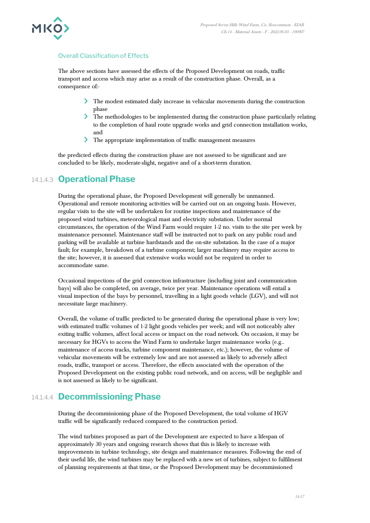#### Overall Classification of Effects

The above sections have assessed the effects of the Proposed Development on roads, traffic transport and access which may arise as a result of the construction phase. Overall, as a consequence of:-

- The modest estimated daily increase in vehicular movements during the construction phase
- The methodologies to be implemented during the construction phase particularly relating to the completion of haul route upgrade works and grid connection installation works, and
- The appropriate implementation of traffic management measures

the predicted effects during the construction phase are not assessed to be significant and are concluded to be likely, moderate-slight, negative and of a short-term duration.

### 14.1.4.3 **Operational Phase**

During the operational phase, the Proposed Development will generally be unmanned. Operational and remote monitoring activities will be carried out on an ongoing basis. However, regular visits to the site will be undertaken for routine inspections and maintenance of the proposed wind turbines, meteorological mast and electricity substation. Under normal circumstances, the operation of the Wind Farm would require 1-2 no. visits to the site per week by maintenance personnel. Maintenance staff will be instructed not to park on any public road and parking will be available at turbine hardstands and the on-site substation. In the case of a major fault; for example, breakdown of a turbine component; larger machinery may require access to the site; however, it is assessed that extensive works would not be required in order to accommodate same.

Occasional inspections of the grid connection infrastructure (including joint and communication bays) will also be completed, on average, twice per year. Maintenance operations will entail a visual inspection of the bays by personnel, travelling in a light goods vehicle (LGV), and will not necessitate large machinery.

Overall, the volume of traffic predicted to be generated during the operational phase is very low; with estimated traffic volumes of 1-2 light goods vehicles per week; and will not noticeably alter exiting traffic volumes, affect local access or impact on the road network. On occasion, it may be necessary for HGVs to access the Wind Farm to undertake larger maintenance works (e.g.. maintenance of access tracks, turbine component maintenance, etc.); however, the volume of vehicular movements will be extremely low and are not assessed as likely to adversely affect roads, traffic, transport or access. Therefore, the effects associated with the operation of the Proposed Development on the existing public road network, and on access, will be negligible and is not assessed as likely to be significant.

#### 14.1.4.4 **Decommissioning Phase**

During the decommissioning phase of the Proposed Development, the total volume of HGV traffic will be significantly reduced compared to the construction period.

The wind turbines proposed as part of the Development are expected to have a lifespan of approximately 30 years and ongoing research shows that this is likely to increase with improvements in turbine technology, site design and maintenance measures. Following the end of their useful life, the wind turbines may be replaced with a new set of turbines, subject to fulfilment of planning requirements at that time, or the Proposed Development may be decommissioned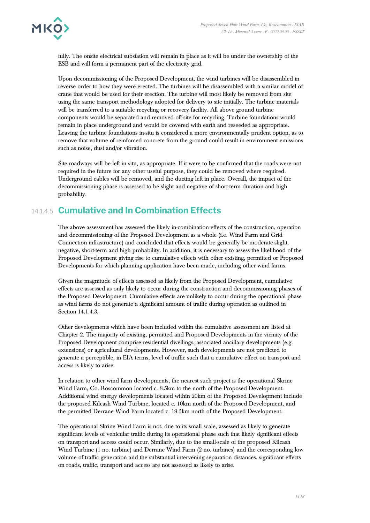

fully. The onsite electrical substation will remain in place as it will be under the ownership of the ESB and will form a permanent part of the electricity grid.

Upon decommissioning of the Proposed Development, the wind turbines will be disassembled in reverse order to how they were erected. The turbines will be disassembled with a similar model of crane that would be used for their erection. The turbine will most likely be removed from site using the same transport methodology adopted for delivery to site initially. The turbine materials will be transferred to a suitable recycling or recovery facility. All above ground turbine components would be separated and removed off-site for recycling. Turbine foundations would remain in place underground and would be covered with earth and reseeded as appropriate. Leaving the turbine foundations in-situ is considered a more environmentally prudent option, as to remove that volume of reinforced concrete from the ground could result in environment emissions such as noise, dust and/or vibration.

Site roadways will be left in situ, as appropriate. If it were to be confirmed that the roads were not required in the future for any other useful purpose, they could be removed where required. Underground cables will be removed, and the ducting left in place. Overall, the impact of the decommissioning phase is assessed to be slight and negative of short-term duration and high probability.

## 14.1.4.5 **Cumulative and In Combination Effects**

The above assessment has assessed the likely in-combination effects of the construction, operation and decommissioning of the Proposed Development as a whole (i.e. Wind Farm and Grid Connection infrastructure) and concluded that effects would be generally be moderate-slight, negative, short-term and high probability. In addition, it is necessary to assess the likelihood of the Proposed Development giving rise to cumulative effects with other existing, permitted or Proposed Developments for which planning application have been made, including other wind farms.

Given the magnitude of effects assessed as likely from the Proposed Development, cumulative effects are assessed as only likely to occur during the construction and decommissioning phases of the Proposed Development. Cumulative effects are unlikely to occur during the operational phase as wind farms do not generate a significant amount of traffic during operation as outlined in Section 14.1.4.3.

Other developments which have been included within the cumulative assessment are listed at Chapter 2. The majority of existing, permitted and Proposed Developments in the vicinity of the Proposed Development comprise residential dwellings, associated ancillary developments (e.g. extensions) or agricultural developments. However, such developments are not predicted to generate a perceptible, in EIA terms, level of traffic such that a cumulative effect on transport and access is likely to arise.

In relation to other wind farm developments, the nearest such project is the operational Skrine Wind Farm, Co. Roscommon located c. 8.5km to the north of the Proposed Development. Additional wind energy developments located within 20km of the Proposed Development include the proposed Kilcash Wind Turbine, located c. 10km north of the Proposed Development, and the permitted Derrane Wind Farm located c. 19.5km north of the Proposed Development.

The operational Skrine Wind Farm is not, due to its small scale, assessed as likely to generate significant levels of vehicular traffic during its operational phase such that likely significant effects on transport and access could occur. Similarly, due to the small-scale of the proposed Kilcash Wind Turbine (1 no. turbine) and Derrane Wind Farm (2 no. turbines) and the corresponding low volume of traffic generation and the substantial intervening separation distances, significant effects on roads, traffic, transport and access are not assessed as likely to arise.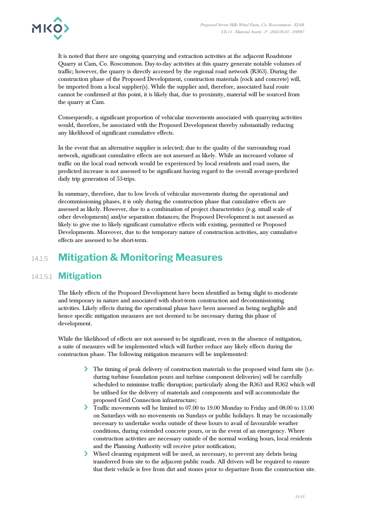

It is noted that there are ongoing quarrying and extraction activities at the adjacent Roadstone Quarry at Cam, Co. Roscommon. Day-to-day activities at this quarry generate notable volumes of traffic; however, the quarry is directly accessed by the regional road network (R363). During the construction phase of the Proposed Development, construction materials (rock and concrete) will, be imported from a local supplier(s). While the supplier and, therefore, associated haul route cannot be confirmed at this point, it is likely that, due to proximity, material will be sourced from the quarry at Cam.

Consequently, a significant proportion of vehicular movements associated with quarrying activities would, therefore, be associated with the Proposed Development thereby substantially reducing any likelihood of significant cumulative effects.

In the event that an alternative supplier is selected; due to the quality of the surrounding road network, significant cumulative effects are not assessed as likely. While an increased volume of traffic on the local road network would be experienced by local residents and road users, the predicted increase is not assessed to be significant having regard to the overall average-predicted daily trip generation of 53-trips.

In summary, therefore, due to low levels of vehicular movements during the operational and decommissioning phases, it is only during the construction phase that cumulative effects are assessed as likely. However, due to a combination of project characteristics (e.g. small scale of other developments) and/or separation distances; the Proposed Development is not assessed as likely to give rise to likely significant cumulative effects with existing, permitted or Proposed Developments. Moreover, due to the temporary nature of construction activities, any cumulative effects are assessed to be short-term.

# 14.1.5 **Mitigation & Monitoring Measures**

### 14.1.5.1 **Mitigation**

The likely effects of the Proposed Development have been identified as being slight to moderate and temporary in nature and associated with short-term construction and decommissioning activities. Likely effects during the operational phase have been assessed as being negligible and hence specific mitigation measures are not deemed to be necessary during this phase of development.

While the likelihood of effects are not assessed to be significant, even in the absence of mitigation, a suite of measures will be implemented which will further reduce any likely effects during the construction phase. The following mitigation measures will be implemented:

- The timing of peak delivery of construction materials to the proposed wind farm site (i.e. during turbine foundation pours and turbine component deliveries) will be carefully scheduled to minimise traffic disruption; particularly along the R363 and R362 which will be utilised for the delivery of materials and components and will accommodate the proposed Grid Connection infrastructure;
- Traffic movements will be limited to 07.00 to 19.00 Monday to Friday and 08.00 to 13.00 on Saturdays with no movements on Sundays or public holidays. It may be occasionally necessary to undertake works outside of these hours to avail of favourable weather conditions, during extended concrete pours, or in the event of an emergency. Where construction activities are necessary outside of the normal working hours, local residents and the Planning Authority will receive prior notification;
- ≻ Wheel cleaning equipment will be used, as necessary, to prevent any debris being transferred from site to the adjacent public roads. All drivers will be required to ensure that their vehicle is free from dirt and stones prior to departure from the construction site.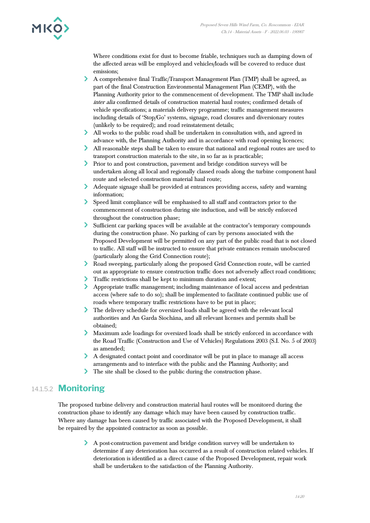

Where conditions exist for dust to become friable, techniques such as damping down of the affected areas will be employed and vehicles/loads will be covered to reduce dust emissions;

- A comprehensive final Traffic/Transport Management Plan (TMP) shall be agreed, as part of the final Construction Environmental Management Plan (CEMP), with the Planning Authority prior to the commencement of development. The TMP shall include inter alia confirmed details of construction material haul routes; confirmed details of vehicle specifications; a materials delivery programme; traffic management measures including details of 'Stop/Go' systems, signage, road closures and diversionary routes (unlikely to be required); and road reinstatement details;
- All works to the public road shall be undertaken in consultation with, and agreed in advance with, the Planning Authority and in accordance with road opening licences;
- All reasonable steps shall be taken to ensure that national and regional routes are used to transport construction materials to the site, in so far as is practicable;
- Prior to and post construction, pavement and bridge condition surveys will be undertaken along all local and regionally classed roads along the turbine component haul route and selected construction material haul route;
- Adequate signage shall be provided at entrances providing access, safety and warning information;
- Speed limit compliance will be emphasised to all staff and contractors prior to the commencement of construction during site induction, and will be strictly enforced throughout the construction phase;
- Sufficient car parking spaces will be available at the contractor's temporary compounds during the construction phase. No parking of cars by persons associated with the Proposed Development will be permitted on any part of the public road that is not closed to traffic. All staff will be instructed to ensure that private entrances remain unobscured (particularly along the Grid Connection route);
- Road sweeping, particularly along the proposed Grid Connection route, will be carried out as appropriate to ensure construction traffic does not adversely affect road conditions;
- Traffic restrictions shall be kept to minimum duration and extent;
- Appropriate traffic management; including maintenance of local access and pedestrian access (where safe to do so); shall be implemented to facilitate continued public use of roads where temporary traffic restrictions have to be put in place;
- The delivery schedule for oversized loads shall be agreed with the relevant local authorities and An Garda Síochána, and all relevant licenses and permits shall be obtained;
- Maximum axle loadings for oversized loads shall be strictly enforced in accordance with the Road Traffic (Construction and Use of Vehicles) Regulations 2003 (S.I. No. 5 of 2003) as amended;
- A designated contact point and coordinator will be put in place to manage all access arrangements and to interface with the public and the Planning Authority; and
- The site shall be closed to the public during the construction phase.

### 14.1.5.2 **Monitoring**

The proposed turbine delivery and construction material haul routes will be monitored during the construction phase to identify any damage which may have been caused by construction traffic. Where any damage has been caused by traffic associated with the Proposed Development, it shall be repaired by the appointed contractor as soon as possible.

> A post-construction pavement and bridge condition survey will be undertaken to determine if any deterioration has occurred as a result of construction related vehicles. If deterioration is identified as a direct cause of the Proposed Development, repair work shall be undertaken to the satisfaction of the Planning Authority.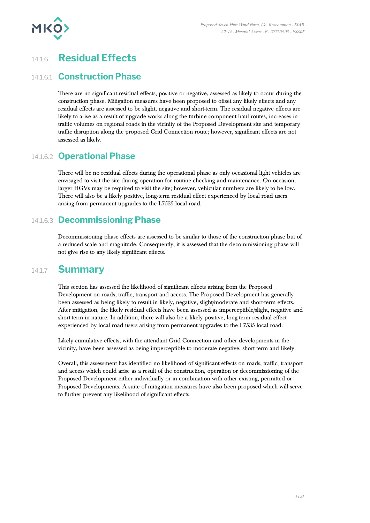

# 14.1.6 **Residual Effects**

#### 14.1.6.1 **Construction Phase**

There are no significant residual effects, positive or negative, assessed as likely to occur during the construction phase. Mitigation measures have been proposed to offset any likely effects and any residual effects are assessed to be slight, negative and short-term. The residual negative effects are likely to arise as a result of upgrade works along the turbine component haul routes, increases in traffic volumes on regional roads in the vicinity of the Proposed Development site and temporary traffic disruption along the proposed Grid Connection route; however, significant effects are not assessed as likely.

#### 14.1.6.2 **Operational Phase**

There will be no residual effects during the operational phase as only occasional light vehicles are envisaged to visit the site during operation for routine checking and maintenance. On occasion, larger HGVs may be required to visit the site; however, vehicular numbers are likely to be low. There will also be a likely positive, long-term residual effect experienced by local road users arising from permanent upgrades to the L7535 local road.

#### 14.1.6.3 **Decommissioning Phase**

Decommissioning phase effects are assessed to be similar to those of the construction phase but of a reduced scale and magnitude. Consequently, it is assessed that the decommissioning phase will not give rise to any likely significant effects.

### 14.1.7 **Summary**

This section has assessed the likelihood of significant effects arising from the Proposed Development on roads, traffic, transport and access. The Proposed Development has generally been assessed as being likely to result in likely, negative, slight/moderate and short-term effects. After mitigation, the likely residual effects have been assessed as imperceptible/slight, negative and short-term in nature. In addition, there will also be a likely positive, long-term residual effect experienced by local road users arising from permanent upgrades to the L7535 local road.

Likely cumulative effects, with the attendant Grid Connection and other developments in the vicinity, have been assessed as being imperceptible to moderate negative, short term and likely.

Overall, this assessment has identified no likelihood of significant effects on roads, traffic, transport and access which could arise as a result of the construction, operation or decommissioning of the Proposed Development either individually or in combination with other existing, permitted or Proposed Developments. A suite of mitigation measures have also been proposed which will serve to further prevent any likelihood of significant effects.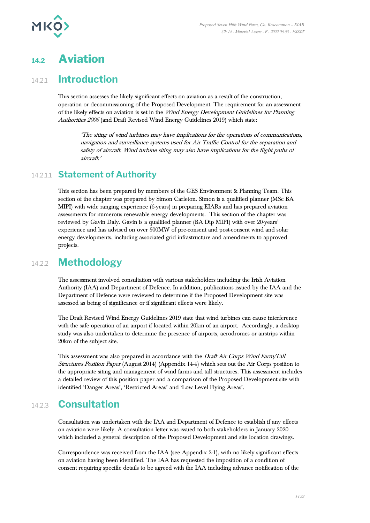

# **14.2 Aviation**

## 14.2.1 **Introduction**

This section assesses the likely significant effects on aviation as a result of the construction, operation or decommissioning of the Proposed Development. The requirement for an assessment of the likely effects on aviation is set in the Wind Energy Development Guidelines for Planning Authorities 2006 (and Draft Revised Wind Energy Guidelines 2019) which state:

'The siting of wind turbines may have implications for the operations of communications, navigation and surveillance systems used for Air Traffic Control for the separation and safety of aircraft. Wind turbine siting may also have implications for the flight paths of aircraft.'

#### 14.2.1.1 **Statement of Authority**

This section has been prepared by members of the GES Environment & Planning Team. This section of the chapter was prepared by Simon Carleton. Simon is a qualified planner (MSc BA MIPI) with wide ranging experience (6-years) in preparing EIARs and has prepared aviation assessments for numerous renewable energy developments. This section of the chapter was reviewed by Gavin Daly. Gavin is a qualified planner (BA Dip MIPI) with over 20-years' experience and has advised on over 500MW of pre-consent and post-consent wind and solar energy developments, including associated grid infrastructure and amendments to approved projects.

## 14.2.2 **Methodology**

The assessment involved consultation with various stakeholders including the Irish Aviation Authority (IAA) and Department of Defence. In addition, publications issued by the IAA and the Department of Defence were reviewed to determine if the Proposed Development site was assessed as being of significance or if significant effects were likely.

The Draft Revised Wind Energy Guidelines 2019 state that wind turbines can cause interference with the safe operation of an airport if located within 20km of an airport. Accordingly, a desktop study was also undertaken to determine the presence of airports, aerodromes or airstrips within 20km of the subject site.

This assessment was also prepared in accordance with the Draft Air Corps Wind Farm/Tall Structures Position Paper (August 2014) (Appendix 14-4) which sets out the Air Corps position to the appropriate siting and management of wind farms and tall structures. This assessment includes a detailed review of this position paper and a comparison of the Proposed Development site with identified 'Danger Areas', 'Restricted Areas' and 'Low Level Flying Areas'.

# 14.2.3 **Consultation**

Consultation was undertaken with the IAA and Department of Defence to establish if any effects on aviation were likely. A consultation letter was issued to both stakeholders in January 2020 which included a general description of the Proposed Development and site location drawings.

Correspondence was received from the IAA (see Appendix 2-1), with no likely significant effects on aviation having been identified. The IAA has requested the imposition of a condition of consent requiring specific details to be agreed with the IAA including advance notification of the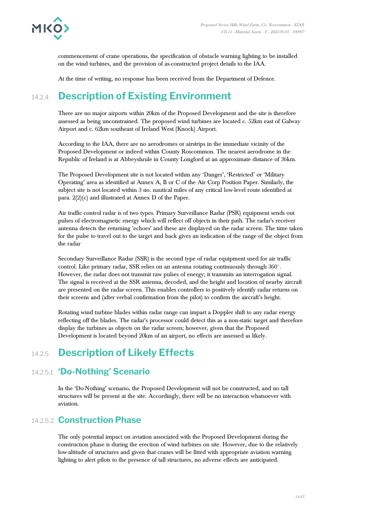

commencement of crane operations, the specification of obstacle warning lighting to be installed on the wind turbines, and the provision of as-constructed project details to the IAA.

At the time of writing, no response has been received from the Department of Defence.

# 14.2.4 **Description of Existing Environment**

There are no major airports within 20km of the Proposed Development and the site is therefore assessed as being unconstrained. The proposed wind turbines are located c. 52km east of Galway Airport and c. 62km southeast of Ireland West (Knock) Airport.

According to the IAA, there are no aerodromes or airstrips in the immediate vicinity of the Proposed Development or indeed within County Roscommon. The nearest aerodrome in the Republic of Ireland is at Abbeyshrule in County Longford at an approximate distance of 36km.

The Proposed Development site is not located within any 'Danger', 'Restricted' or 'Military Operating' area as identified at Annex A, B or C of the Air Corp Position Paper. Similarly, the subject site is not located within 3 no. nautical miles of any critical low-level route identified at para. 2(2)(c) and illustrated at Annex D of the Paper.

Air traffic control radar is of two types. Primary Surveillance Radar (PSR) equipment sends out pulses of electromagnetic energy which will reflect off objects in their path. The radar's receiver antenna detects the returning 'echoes' and these are displayed on the radar screen. The time taken for the pulse to travel out to the target and back gives an indication of the range of the object from the radar

Secondary Surveillance Radar (SSR) is the second type of radar equipment used for air traffic control. Like primary radar, SSR relies on an antenna rotating continuously through 360°. However, the radar does not transmit raw pulses of energy; it transmits an interrogation signal. The signal is received at the SSR antenna, decoded, and the height and location of nearby aircraft are presented on the radar screen. This enables controllers to positively identify radar returns on their screens and (after verbal confirmation from the pilot) to confirm the aircraft's height.

Rotating wind turbine blades within radar range can impart a Doppler shift to any radar energy reflecting off the blades. The radar's processor could detect this as a non-static target and therefore display the turbines as objects on the radar screen; however, given that the Proposed Development is located beyond 20km of an airport, no effects are assessed as likely.

# 14.2.5 **Description of Likely Effects**

### 14.2.5.1 **'Do-Nothing' Scenario**

In the 'Do-Nothing' scenario, the Proposed Development will not be constructed, and no tall structures will be present at the site. Accordingly, there will be no interaction whatsoever with aviation.

### 14.2.5.2 **Construction Phase**

The only potential impact on aviation associated with the Proposed Development during the construction phase is during the erection of wind turbines on site. However, due to the relatively low-altitude of structures and given that cranes will be fitted with appropriate aviation warning lighting to alert pilots to the presence of tall structures, no adverse effects are anticipated.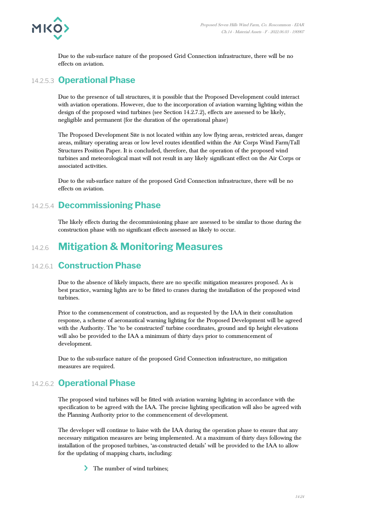

Due to the sub-surface nature of the proposed Grid Connection infrastructure, there will be no effects on aviation.

#### 14.2.5.3 **Operational Phase**

Due to the presence of tall structures, it is possible that the Proposed Development could interact with aviation operations. However, due to the incorporation of aviation warning lighting within the design of the proposed wind turbines (see Section 14.2.7.2), effects are assessed to be likely, negligible and permanent (for the duration of the operational phase)

The Proposed Development Site is not located within any low flying areas, restricted areas, danger areas, military operating areas or low level routes identified within the Air Corps Wind Farm/Tall Structures Position Paper. It is concluded, therefore, that the operation of the proposed wind turbines and meteorological mast will not result in any likely significant effect on the Air Corps or associated activities.

Due to the sub-surface nature of the proposed Grid Connection infrastructure, there will be no effects on aviation.

#### 14.2.5.4 **Decommissioning Phase**

The likely effects during the decommissioning phase are assessed to be similar to those during the construction phase with no significant effects assessed as likely to occur.

# 14.2.6 **Mitigation & Monitoring Measures**

#### 14.2.6.1 **Construction Phase**

Due to the absence of likely impacts, there are no specific mitigation measures proposed. As is best practice, warning lights are to be fitted to cranes during the installation of the proposed wind turbines.

Prior to the commencement of construction, and as requested by the IAA in their consultation response, a scheme of aeronautical warning lighting for the Proposed Development will be agreed with the Authority. The 'to be constructed' turbine coordinates, ground and tip height elevations will also be provided to the IAA a minimum of thirty days prior to commencement of development.

Due to the sub-surface nature of the proposed Grid Connection infrastructure, no mitigation measures are required.

### 14.2.6.2 **Operational Phase**

The proposed wind turbines will be fitted with aviation warning lighting in accordance with the specification to be agreed with the IAA. The precise lighting specification will also be agreed with the Planning Authority prior to the commencement of development.

The developer will continue to liaise with the IAA during the operation phase to ensure that any necessary mitigation measures are being implemented. At a maximum of thirty days following the installation of the proposed turbines, 'as-constructed details' will be provided to the IAA to allow for the updating of mapping charts, including:

The number of wind turbines;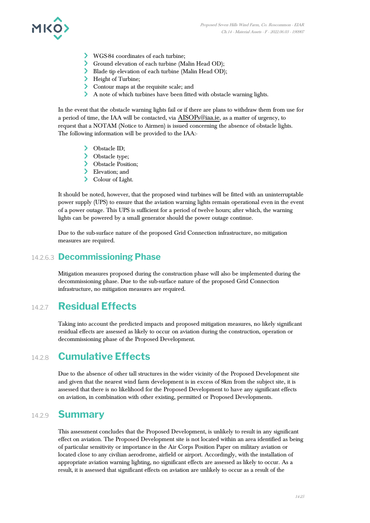

- WGS-84 coordinates of each turbine;
- Ground elevation of each turbine (Malin Head OD);
- Blade tip elevation of each turbine (Malin Head OD);
- > Height of Turbine;
- Contour maps at the requisite scale; and
- A note of which turbines have been fitted with obstacle warning lights.

In the event that the obstacle warning lights fail or if there are plans to withdraw them from use for a period of time, the IAA will be contacted, via [AISOPs@iaa.ie](mailto:AISOPs@iaa.ie), as a matter of urgency, to request that a NOTAM (Notice to Airmen) is issued concerning the absence of obstacle lights. The following information will be provided to the IAA:-

- > Obstacle ID;
- > Obstacle type;
- > Obstacle Position;
- > Elevation; and
- > Colour of Light.

It should be noted, however, that the proposed wind turbines will be fitted with an uninterruptable power supply (UPS) to ensure that the aviation warning lights remain operational even in the event of a power outage. This UPS is sufficient for a period of twelve hours; after which, the warning lights can be powered by a small generator should the power outage continue.

Due to the sub-surface nature of the proposed Grid Connection infrastructure, no mitigation measures are required.

#### 14.2.6.3 **Decommissioning Phase**

Mitigation measures proposed during the construction phase will also be implemented during the decommissioning phase. Due to the sub-surface nature of the proposed Grid Connection infrastructure, no mitigation measures are required.

## 14.2.7 **Residual Effects**

Taking into account the predicted impacts and proposed mitigation measures, no likely significant residual effects are assessed as likely to occur on aviation during the construction, operation or decommissioning phase of the Proposed Development.

### 14.2.8 **Cumulative Effects**

Due to the absence of other tall structures in the wider vicinity of the Proposed Development site and given that the nearest wind farm development is in excess of 8km from the subject site, it is assessed that there is no likelihood for the Proposed Development to have any significant effects on aviation, in combination with other existing, permitted or Proposed Developments.

#### 14.2.9 **Summary**

This assessment concludes that the Proposed Development, is unlikely to result in any significant effect on aviation. The Proposed Development site is not located within an area identified as being of particular sensitivity or importance in the Air Corps Position Paper on military aviation or located close to any civilian aerodrome, airfield or airport. Accordingly, with the installation of appropriate aviation warning lighting, no significant effects are assessed as likely to occur. As a result, it is assessed that significant effects on aviation are unlikely to occur as a result of the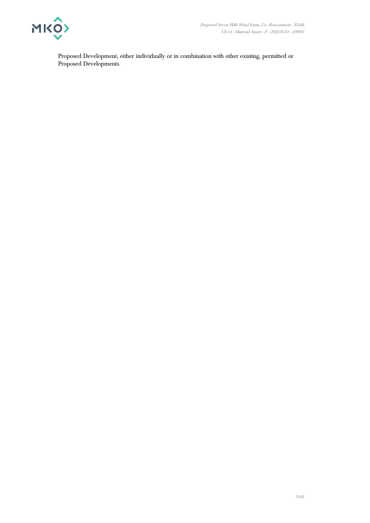

Proposed Development, either individually or in combination with other existing, permitted or Proposed Developments.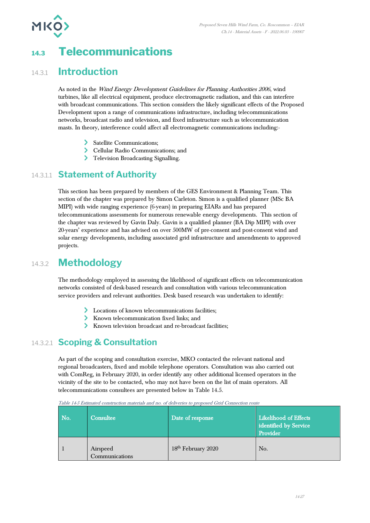

# **14.3 Telecommunications**

## 14.3.1 **Introduction**

As noted in the Wind Energy Development Guidelines for Planning Authorities 2006, wind turbines, like all electrical equipment, produce electromagnetic radiation, and this can interfere with broadcast communications. This section considers the likely significant effects of the Proposed Development upon a range of communications infrastructure, including telecommunications networks, broadcast radio and television, and fixed infrastructure such as telecommunication masts. In theory, interference could affect all electromagnetic communications including:-

- > Satellite Communications;
- Cellular Radio Communications; and
- > Television Broadcasting Signalling.

#### 14.3.1.1 **Statement of Authority**

This section has been prepared by members of the GES Environment & Planning Team. This section of the chapter was prepared by Simon Carleton. Simon is a qualified planner (MSc BA MIPI) with wide ranging experience (6-years) in preparing EIARs and has prepared telecommunications assessments for numerous renewable energy developments. This section of the chapter was reviewed by Gavin Daly. Gavin is a qualified planner (BA Dip MIPI) with over 20-years' experience and has advised on over 500MW of pre-consent and post-consent wind and solar energy developments, including associated grid infrastructure and amendments to approved projects.

# 14.3.2 **Methodology**

The methodology employed in assessing the likelihood of significant effects on telecommunication networks consisted of desk-based research and consultation with various telecommunication service providers and relevant authorities. Desk based research was undertaken to identify:

- Locations of known telecommunications facilities;
- Known telecommunication fixed links; and
- Known television broadcast and re-broadcast facilities;

### 14.3.2.1 **Scoping & Consultation**

As part of the scoping and consultation exercise, MKO contacted the relevant national and regional broadcasters, fixed and mobile telephone operators. Consultation was also carried out with ComReg, in February 2020, in order identify any other additional licensed operators in the vicinity of the site to be contacted, who may not have been on the list of main operators. All telecommunications consultees are presented below in Table 14.5.

| No. | Consultee                  | Date of response               | Likelihood of Effects<br>identified by Service<br>Provider |
|-----|----------------------------|--------------------------------|------------------------------------------------------------|
|     | Airspeed<br>Communications | 18 <sup>th</sup> February 2020 | No.                                                        |

Table 14-5 Estimated construction materials and no. of deliveries to proposed Grid Connection route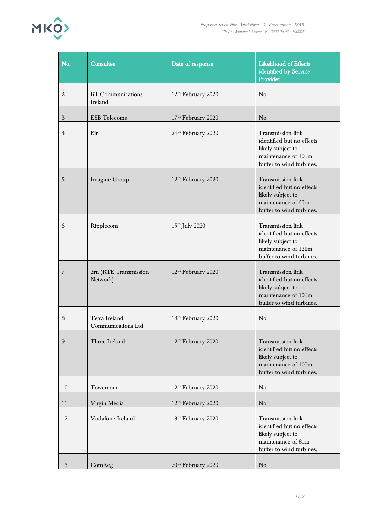

| No.            | Consultee                            | Date of response               | <b>Likelihood of Effects</b><br>identified by Service<br>Provider                                                      |
|----------------|--------------------------------------|--------------------------------|------------------------------------------------------------------------------------------------------------------------|
| $\overline{2}$ | <b>BT</b> Communications<br>Ireland  | $12th$ February 2020           | N <sub>o</sub>                                                                                                         |
| 3              | <b>ESB</b> Telecoms                  | 17 <sup>th</sup> February 2020 | No.                                                                                                                    |
| $\overline{4}$ | Eir                                  | 24 <sup>th</sup> February 2020 | Transmission link<br>identified but no effects<br>likely subject to<br>maintenance of 100m<br>buffer to wind turbines. |
| $\overline{5}$ | Imagine Group                        | 12 <sup>th</sup> February 2020 | Transmission link<br>identified but no effects<br>likely subject to<br>maintenance of 50m<br>buffer to wind turbines.  |
| 6              | Ripplecom                            | $15th$ July 2020               | Transmission link<br>identified but no effects<br>likely subject to<br>maintenance of 121m<br>buffer to wind turbines. |
| $\overline{7}$ | 2rn (RTE Transmission<br>Network)    | 12 <sup>th</sup> February 2020 | Transmission link<br>identified but no effects<br>likely subject to<br>maintenance of 100m<br>buffer to wind turbines. |
| 8              | Tetra Ireland<br>Communications Ltd. | 18 <sup>th</sup> February 2020 | No.                                                                                                                    |
| 9              | Three Ireland                        | 12 <sup>th</sup> February 2020 | Transmission link<br>identified but no effects<br>likely subject to<br>maintenance of 100m<br>buffer to wind turbines. |
| 10             | Towercom                             | $12th$ February 2020           | No.                                                                                                                    |
| 11             | Virgin Media                         | 12 <sup>th</sup> February 2020 | No.                                                                                                                    |
| 12             | Vodafone Ireland                     | 13 <sup>th</sup> February 2020 | Transmission link<br>identified but no effects<br>likely subject to<br>maintenance of 81m<br>buffer to wind turbines.  |
| 13             | ComReg                               | 20 <sup>th</sup> February 2020 | No.                                                                                                                    |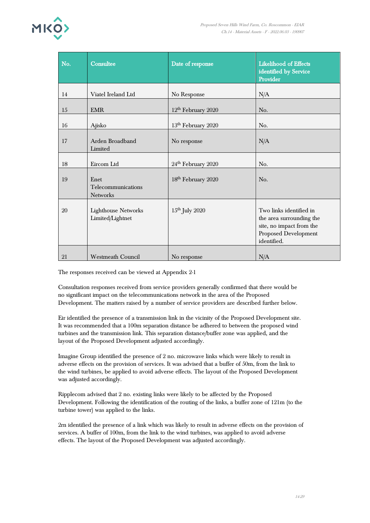

| No. | Consultee                                      | Date of response               | <b>Likelihood of Effects</b><br>identified by Service<br>Provider                                                      |
|-----|------------------------------------------------|--------------------------------|------------------------------------------------------------------------------------------------------------------------|
| 14  | Viatel Ireland Ltd                             | No Response                    | N/A                                                                                                                    |
| 15  | <b>EMR</b>                                     | 12 <sup>th</sup> February 2020 | No.                                                                                                                    |
| 16  | Ajisko                                         | 13 <sup>th</sup> February 2020 | No.                                                                                                                    |
| 17  | Arden Broadband<br>Limited                     | No response                    | N/A                                                                                                                    |
| 18  | Eircom Ltd                                     | 24 <sup>th</sup> February 2020 | No.                                                                                                                    |
| 19  | Enet<br>Telecommunications<br><b>Networks</b>  | 18 <sup>th</sup> February 2020 | No.                                                                                                                    |
| 20  | <b>Lighthouse Networks</b><br>Limited/Lightnet | $15th$ July 2020               | Two links identified in<br>the area surrounding the<br>site, no impact from the<br>Proposed Development<br>identified. |
| 21  | <b>Westmeath Council</b>                       | No response                    | N/A                                                                                                                    |

The responses received can be viewed at Appendix 2-1

Consultation responses received from service providers generally confirmed that there would be no significant impact on the telecommunications network in the area of the Proposed Development. The matters raised by a number of service providers are described further below.

Eir identified the presence of a transmission link in the vicinity of the Proposed Development site. It was recommended that a 100m separation distance be adhered to between the proposed wind turbines and the transmission link. This separation distance/buffer zone was applied, and the layout of the Proposed Development adjusted accordingly.

Imagine Group identified the presence of 2 no. microwave links which were likely to result in adverse effects on the provision of services. It was advised that a buffer of 50m, from the link to the wind turbines, be applied to avoid adverse effects. The layout of the Proposed Development was adjusted accordingly.

Ripplecom advised that 2 no. existing links were likely to be affected by the Proposed Development. Following the identification of the routing of the links, a buffer zone of 121m (to the turbine tower) was applied to the links.

2rn identified the presence of a link which was likely to result in adverse effects on the provision of services. A buffer of 100m, from the link to the wind turbines, was applied to avoid adverse effects. The layout of the Proposed Development was adjusted accordingly.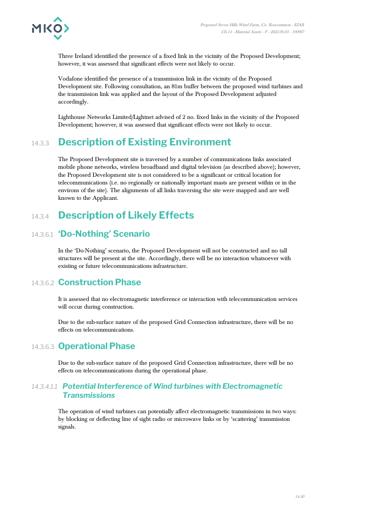

Three Ireland identified the presence of a fixed link in the vicinity of the Proposed Development; however, it was assessed that significant effects were not likely to occur.

Vodafone identified the presence of a transmission link in the vicinity of the Proposed Development site. Following consultation, an 81m buffer between the proposed wind turbines and the transmission link was applied and the layout of the Proposed Development adjusted accordingly.

Lighthouse Networks Limited/Lightnet advised of 2 no. fixed links in the vicinity of the Proposed Development; however, it was assessed that significant effects were not likely to occur.

# 14.3.3 **Description of Existing Environment**

The Proposed Development site is traversed by a number of communications links associated mobile phone networks, wireless broadband and digital television (as described above); however, the Proposed Development site is not considered to be a significant or critical location for telecommunications (i.e. no regionally or nationally important masts are present within or in the environs of the site). The alignments of all links traversing the site were mapped and are well known to the Applicant.

# 14.3.4 **Description of Likely Effects**

## 14.3.6.1 **'Do-Nothing' Scenario**

In the 'Do-Nothing' scenario, the Proposed Development will not be constructed and no tall structures will be present at the site. Accordingly, there will be no interaction whatsoever with existing or future telecommunications infrastructure.

#### 14.3.6.2 **Construction Phase**

It is assessed that no electromagnetic interference or interaction with telecommunication services will occur during construction.

Due to the sub-surface nature of the proposed Grid Connection infrastructure, there will be no effects on telecommunications.

### 14.3.6.3 **Operational Phase**

Due to the sub-surface nature of the proposed Grid Connection infrastructure, there will be no effects on telecommunications during the operational phase.

#### *14.3.4.1.1 Potential Interference of Wind turbines with Electromagnetic Transmissions*

The operation of wind turbines can potentially affect electromagnetic transmissions in two ways: by blocking or deflecting line of sight radio or microwave links or by 'scattering' transmission signals.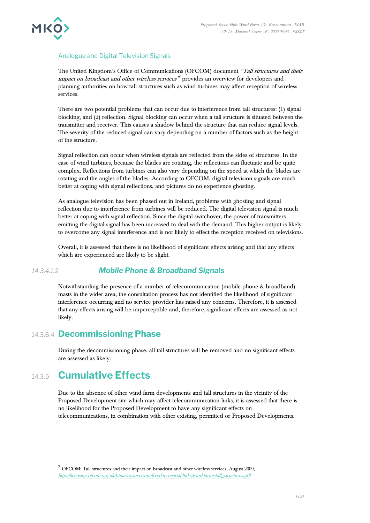

#### Analogue and Digital Television Signals

The United Kingdom's Office of Communications (OFCOM) document "Tall structures and their impact on broadcast and other wireless services" provides an overview for developers and planning authorities on how tall structures such as wind turbines may affect reception of wireless services.

There are two potential problems that can occur due to interference from tall structures: (1) signal blocking, and (2) reflection. Signal blocking can occur when a tall structure is situated between the transmitter and receiver. This causes a shadow behind the structure that can reduce signal levels. The severity of the reduced signal can vary depending on a number of factors such as the height of the structure.

Signal reflection can occur when wireless signals are reflected from the sides of structures. In the case of wind turbines, because the blades are rotating, the reflections can fluctuate and be quite complex. Reflections from turbines can also vary depending on the speed at which the blades are rotating and the angles of the blades. According to OFCOM, digital television signals are much better at coping with signal reflections, and pictures do no experience ghosting.

As analogue television has been phased out in Ireland, problems with ghosting and signal reflection due to interference from turbines will be reduced. The digital television signal is much better at coping with signal reflection. Since the digital switchover, the power of transmitters emitting the digital signal has been increased to deal with the demand. This higher output is likely to overcome any signal interference and is not likely to effect the reception received on televisions.

Overall, it is assessed that there is no likelihood of significant effects arising and that any effects which are experienced are likely to be slight.

#### *14.3.4.1.2 Mobile Phone & Broadband Signals*

Notwithstanding the presence of a number of telecommunication (mobile phone & broadband) masts in the wider area, the consultation process has not identified the likelihood of significant interference occurring and no service provider has raised any concerns. Therefore, it is assessed that any effects arising will be imperceptible and, therefore, significant effects are assessed as not likely.

#### 14.3.6.4 **Decommissioning Phase**

During the decommissioning phase, all tall structures will be removed and no significant effects are assessed as likely.

# 14.3.5 **Cumulative Effects**

Due to the absence of other wind farm developments and tall structures in the vicinity of the Proposed Development site which may affect telecommunication links, it is assessed that there is no likelihood for the Proposed Development to have any significant effects on telecommunications, in combination with other existing, permitted or Proposed Developments.

 $^7$  OFCOM: Tall structures and their impact on broadcast and other wireless services, August 2009, [http://licensing.ofcom.org.uk/binaries/spectrum/fixed-terrestrial-links/wind-farms/tall\\_structures.pdf](http://licensing.ofcom.org.uk/binaries/spectrum/fixed-terrestrial-links/wind-farms/tall_structures.pdf)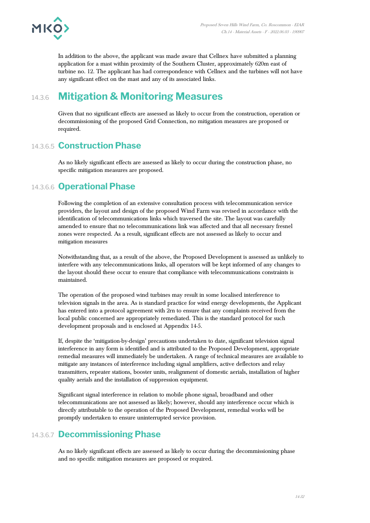

In addition to the above, the applicant was made aware that Cellnex have submitted a planning application for a mast within proximity of the Southern Cluster, approximately 620m east of turbine no. 12. The applicant has had correspondence with Cellnex and the turbines will not have any significant effect on the mast and any of its associated links.

# 14.3.6 **Mitigation & Monitoring Measures**

Given that no significant effects are assessed as likely to occur from the construction, operation or decommissioning of the proposed Grid Connection, no mitigation measures are proposed or required.

#### 14.3.6.5 **Construction Phase**

As no likely significant effects are assessed as likely to occur during the construction phase, no specific mitigation measures are proposed.

#### 14.3.6.6 **Operational Phase**

Following the completion of an extensive consultation process with telecommunication service providers, the layout and design of the proposed Wind Farm was revised in accordance with the identification of telecommunications links which traversed the site. The layout was carefully amended to ensure that no telecommunications link was affected and that all necessary fresnel zones were respected. As a result, significant effects are not assessed as likely to occur and mitigation measures

Notwithstanding that, as a result of the above, the Proposed Development is assessed as unlikely to interfere with any telecommunications links, all operators will be kept informed of any changes to the layout should these occur to ensure that compliance with telecommunications constraints is maintained.

The operation of the proposed wind turbines may result in some localised interference to television signals in the area. As is standard practice for wind energy developments, the Applicant has entered into a protocol agreement with 2rn to ensure that any complaints received from the local public concerned are appropriately remediated. This is the standard protocol for such development proposals and is enclosed at Appendix 14-5.

If, despite the 'mitigation-by-design' precautions undertaken to date, significant television signal interference in any form is identified and is attributed to the Proposed Development, appropriate remedial measures will immediately be undertaken. A range of technical measures are available to mitigate any instances of interference including signal amplifiers, active deflectors and relay transmitters, repeater stations, booster units, realignment of domestic aerials, installation of higher quality aerials and the installation of suppression equipment.

Significant signal interference in relation to mobile phone signal, broadband and other telecommunications are not assessed as likely; however, should any interference occur which is directly attributable to the operation of the Proposed Development, remedial works will be promptly undertaken to ensure uninterrupted service provision.

#### 14.3.6.7 **Decommissioning Phase**

As no likely significant effects are assessed as likely to occur during the decommissioning phase and no specific mitigation measures are proposed or required.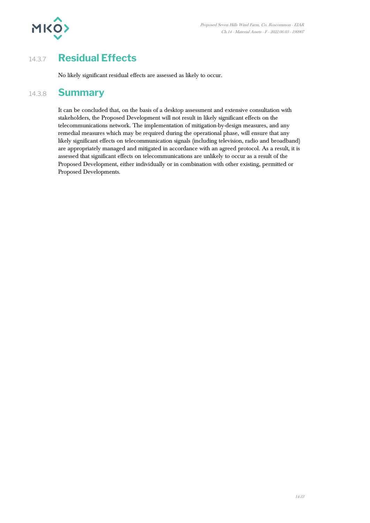

# 14.3.7 **Residual Effects**

No likely significant residual effects are assessed as likely to occur.

## 14.3.8 **Summary**

It can be concluded that, on the basis of a desktop assessment and extensive consultation with stakeholders, the Proposed Development will not result in likely significant effects on the telecommunications network. The implementation of mitigation-by-design measures, and any remedial measures which may be required during the operational phase, will ensure that any likely significant effects on telecommunication signals (including television, radio and broadband) are appropriately managed and mitigated in accordance with an agreed protocol. As a result, it is assessed that significant effects on telecommunications are unlikely to occur as a result of the Proposed Development, either individually or in combination with other existing, permitted or Proposed Developments.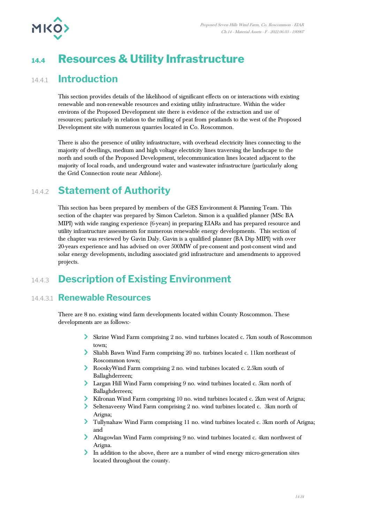

# **14.4 Resources & Utility Infrastructure**

### 14.4.1 **Introduction**

This section provides details of the likelihood of significant effects on or interactions with existing renewable and non-renewable resources and existing utility infrastructure. Within the wider environs of the Proposed Development site there is evidence of the extraction and use of resources; particularly in relation to the milling of peat from peatlands to the west of the Proposed Development site with numerous quarries located in Co. Roscommon.

There is also the presence of utility infrastructure, with overhead electricity lines connecting to the majority of dwellings, medium and high voltage electricity lines traversing the landscape to the north and south of the Proposed Development, telecommunication lines located adjacent to the majority of local roads, and underground water and wastewater infrastructure (particularly along the Grid Connection route near Athlone).

## 14.4.2 **Statement of Authority**

This section has been prepared by members of the GES Environment & Planning Team. This section of the chapter was prepared by Simon Carleton. Simon is a qualified planner (MSc BA MIPI) with wide ranging experience (6-years) in preparing EIARs and has prepared resource and utility infrastructure assessments for numerous renewable energy developments. This section of the chapter was reviewed by Gavin Daly. Gavin is a qualified planner (BA Dip MIPI) with over 20-years experience and has advised on over 500MW of pre-consent and post-consent wind and solar energy developments, including associated grid infrastructure and amendments to approved projects.

# 14.4.3 **Description of Existing Environment**

#### 14.4.3.1 **Renewable Resources**

There are 8 no. existing wind farm developments located within County Roscommon. These developments are as follows:-

- Skrine Wind Farm comprising 2 no. wind turbines located c. 7km south of Roscommon town;
- Sliabh Bawn Wind Farm comprising 20 no. turbines located c. 11km northeast of Roscommon town;
- RooskyWind Farm comprising 2 no. wind turbines located c. 2.5km south of Ballaghderreen;
- Largan Hill Wind Farm comprising 9 no. wind turbines located c. 5km north of Ballaghderreen;
- Kilronan Wind Farm comprising 10 no. wind turbines located c. 2km west of Arigna;
- Seltenaveeny Wind Farm comprising 2 no. wind turbines located c. 3km north of Arigna;
- Tullynahaw Wind Farm comprising 11 no. wind turbines located c. 3km north of Arigna; and
- Altagowlan Wind Farm comprising 9 no. wind turbines located c. 4km northwest of Arigna.
- In addition to the above, there are a number of wind energy micro-generation sites located throughout the county.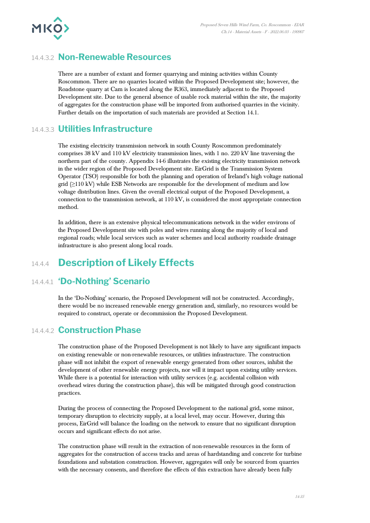

#### 14.4.3.2 **Non-Renewable Resources**

There are a number of extant and former quarrying and mining activities within County Roscommon. There are no quarries located within the Proposed Development site; however, the Roadstone quarry at Cam is located along the R363, immediately adjacent to the Proposed Development site. Due to the general absence of usable rock material within the site, the majority of aggregates for the construction phase will be imported from authorised quarries in the vicinity. Further details on the importation of such materials are provided at Section 14.1.

#### 14.4.3.3 **Utilities Infrastructure**

The existing electricity transmission network in south County Roscommon predominately comprises 38 kV and 110 kV electricity transmission lines, with 1 no. 220 kV line traversing the northern part of the county. Appendix 14-6 illustrates the existing electricity transmission network in the wider region of the Proposed Development site. EirGrid is the Transmission System Operator (TSO) responsible for both the planning and operation of Ireland's high voltage national grid (≥110 kV) while ESB Networks are responsible for the development of medium and low voltage distribution lines. Given the overall electrical output of the Proposed Development, a connection to the transmission network, at 110 kV, is considered the most appropriate connection method.

In addition, there is an extensive physical telecommunications network in the wider environs of the Proposed Development site with poles and wires running along the majority of local and regional roads; while local services such as water schemes and local authority roadside drainage infrastructure is also present along local roads.

# 14.4.4 **Description of Likely Effects**

#### 14.4.4.1 **'Do-Nothing' Scenario**

In the 'Do-Nothing' scenario, the Proposed Development will not be constructed. Accordingly, there would be no increased renewable energy generation and, similarly, no resources would be required to construct, operate or decommission the Proposed Development.

#### 14.4.4.2 **Construction Phase**

The construction phase of the Proposed Development is not likely to have any significant impacts on existing renewable or non-renewable resources, or utilities infrastructure. The construction phase will not inhibit the export of renewable energy generated from other sources, inhibit the development of other renewable energy projects, nor will it impact upon existing utility services. While there is a potential for interaction with utility services (e.g. accidental collision with overhead wires during the construction phase), this will be mitigated through good construction practices.

During the process of connecting the Proposed Development to the national grid, some minor, temporary disruption to electricity supply, at a local level, may occur. However, during this process, EirGrid will balance the loading on the network to ensure that no significant disruption occurs and significant effects do not arise.

The construction phase will result in the extraction of non-renewable resources in the form of aggregates for the construction of access tracks and areas of hardstanding and concrete for turbine foundations and substation construction. However, aggregates will only be sourced from quarries with the necessary consents, and therefore the effects of this extraction have already been fully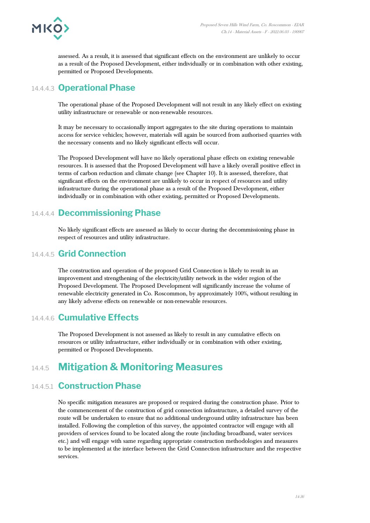

assessed. As a result, it is assessed that significant effects on the environment are unlikely to occur as a result of the Proposed Development, either individually or in combination with other existing, permitted or Proposed Developments.

#### 14.4.4.3 **Operational Phase**

The operational phase of the Proposed Development will not result in any likely effect on existing utility infrastructure or renewable or non-renewable resources.

It may be necessary to occasionally import aggregates to the site during operations to maintain access for service vehicles; however, materials will again be sourced from authorised quarries with the necessary consents and no likely significant effects will occur.

The Proposed Development will have no likely operational phase effects on existing renewable resources. It is assessed that the Proposed Development will have a likely overall positive effect in terms of carbon reduction and climate change (see Chapter 10). It is assessed, therefore, that significant effects on the environment are unlikely to occur in respect of resources and utility infrastructure during the operational phase as a result of the Proposed Development, either individually or in combination with other existing, permitted or Proposed Developments.

### 14.4.4.4 **Decommissioning Phase**

No likely significant effects are assessed as likely to occur during the decommissioning phase in respect of resources and utility infrastructure.

### 14.4.4.5 **Grid Connection**

The construction and operation of the proposed Grid Connection is likely to result in an improvement and strengthening of the electricity/utility network in the wider region of the Proposed Development. The Proposed Development will significantly increase the volume of renewable electricity generated in Co. Roscommon, by approximately 100%, without resulting in any likely adverse effects on renewable or non-renewable resources.

#### 14.4.4.6 **Cumulative Effects**

The Proposed Development is not assessed as likely to result in any cumulative effects on resources or utility infrastructure, either individually or in combination with other existing, permitted or Proposed Developments.

# 14.4.5 **Mitigation & Monitoring Measures**

### 14.4.5.1 **Construction Phase**

No specific mitigation measures are proposed or required during the construction phase. Prior to the commencement of the construction of grid connection infrastructure, a detailed survey of the route will be undertaken to ensure that no additional underground utility infrastructure has been installed. Following the completion of this survey, the appointed contractor will engage with all providers of services found to be located along the route (including broadband, water services etc.) and will engage with same regarding appropriate construction methodologies and measures to be implemented at the interface between the Grid Connection infrastructure and the respective services.